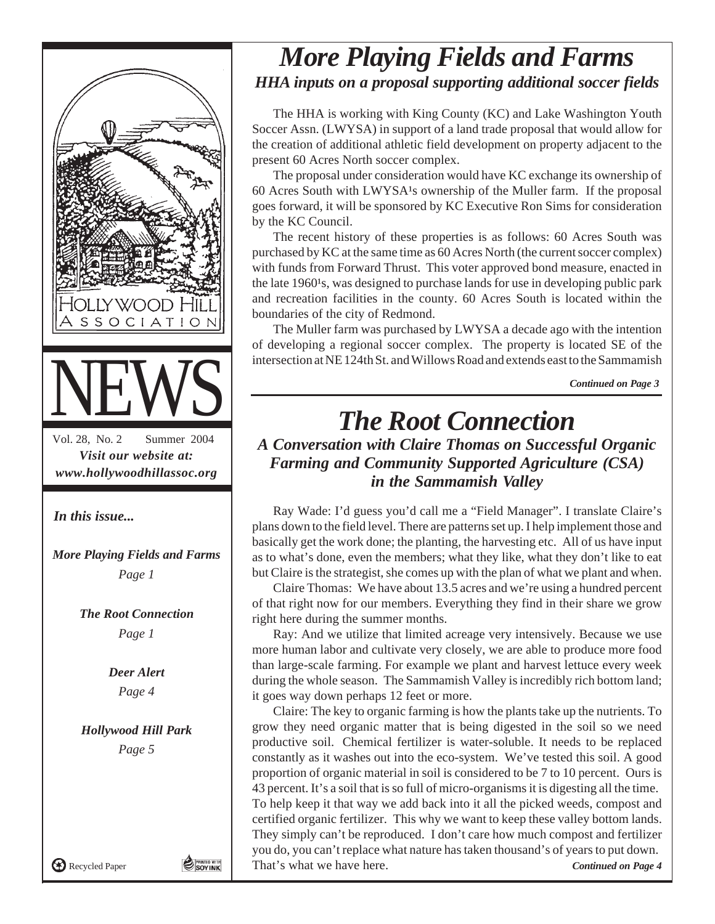

### *More Playing Fields and Farms HHA inputs on a proposal supporting additional soccer fields*

The HHA is working with King County (KC) and Lake Washington Youth Soccer Assn. (LWYSA) in support of a land trade proposal that would allow for the creation of additional athletic field development on property adjacent to the present 60 Acres North soccer complex.

The proposal under consideration would have KC exchange its ownership of 60 Acres South with LWYSA<sup>1</sup>s ownership of the Muller farm. If the proposal goes forward, it will be sponsored by KC Executive Ron Sims for consideration by the KC Council.

The recent history of these properties is as follows: 60 Acres South was purchased by KC at the same time as 60 Acres North (the current soccer complex) with funds from Forward Thrust. This voter approved bond measure, enacted in the late 1960<sup>1</sup>s, was designed to purchase lands for use in developing public park and recreation facilities in the county. 60 Acres South is located within the boundaries of the city of Redmond.

The Muller farm was purchased by LWYSA a decade ago with the intention of developing a regional soccer complex. The property is located SE of the intersection at NE 124th St. and Willows Road and extends east to the Sammamish

*Continued on Page 3*

# *The Root Connection*

*A Conversation with Claire Thomas on Successful Organic Farming and Community Supported Agriculture (CSA) in the Sammamish Valley*

Ray Wade: I'd guess you'd call me a "Field Manager". I translate Claire's plans down to the field level. There are patterns set up. I help implement those and basically get the work done; the planting, the harvesting etc. All of us have input as to what's done, even the members; what they like, what they don't like to eat but Claire is the strategist, she comes up with the plan of what we plant and when.

Claire Thomas: We have about 13.5 acres and we're using a hundred percent of that right now for our members. Everything they find in their share we grow right here during the summer months.

Ray: And we utilize that limited acreage very intensively. Because we use more human labor and cultivate very closely, we are able to produce more food than large-scale farming. For example we plant and harvest lettuce every week during the whole season. The Sammamish Valley is incredibly rich bottom land; it goes way down perhaps 12 feet or more.

Claire: The key to organic farming is how the plants take up the nutrients. To grow they need organic matter that is being digested in the soil so we need productive soil. Chemical fertilizer is water-soluble. It needs to be replaced constantly as it washes out into the eco-system. We've tested this soil. A good proportion of organic material in soil is considered to be 7 to 10 percent. Ours is 43 percent. It's a soil that is so full of micro-organisms it is digesting all the time. To help keep it that way we add back into it all the picked weeds, compost and certified organic fertilizer. This why we want to keep these valley bottom lands. They simply can't be reproduced. I don't care how much compost and fertilizer you do, you can't replace what nature has taken thousand's of years to put down. That's what we have here. *Continued on Page 4*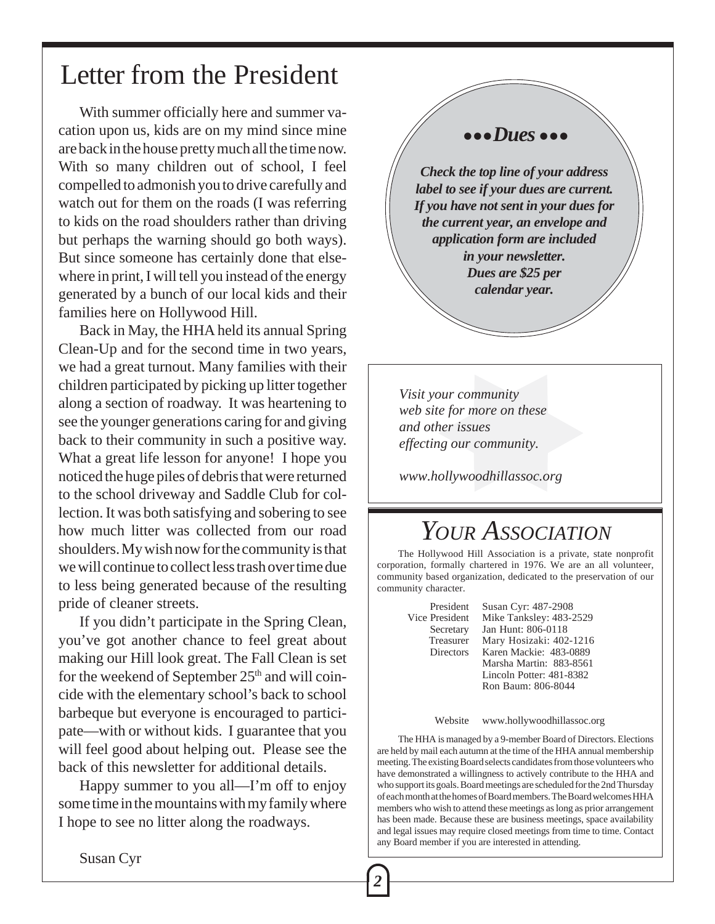### Letter from the President

With summer officially here and summer vacation upon us, kids are on my mind since mine are back in the house pretty much all the time now. With so many children out of school, I feel compelled to admonish you to drive carefully and watch out for them on the roads (I was referring to kids on the road shoulders rather than driving but perhaps the warning should go both ways). But since someone has certainly done that elsewhere in print, I will tell you instead of the energy generated by a bunch of our local kids and their families here on Hollywood Hill.

Back in May, the HHA held its annual Spring Clean-Up and for the second time in two years, we had a great turnout. Many families with their children participated by picking up litter together along a section of roadway. It was heartening to see the younger generations caring for and giving back to their community in such a positive way. What a great life lesson for anyone! I hope you noticed the huge piles of debris that were returned to the school driveway and Saddle Club for collection. It was both satisfying and sobering to see how much litter was collected from our road shoulders. My wish now for the community is that we will continue to collect less trash over time due to less being generated because of the resulting pride of cleaner streets.

If you didn't participate in the Spring Clean, you've got another chance to feel great about making our Hill look great. The Fall Clean is set for the weekend of September  $25<sup>th</sup>$  and will coincide with the elementary school's back to school barbeque but everyone is encouraged to participate—with or without kids. I guarantee that you will feel good about helping out. Please see the back of this newsletter for additional details.

Happy summer to you all—I'm off to enjoy some time in the mountains with my family where I hope to see no litter along the roadways.

● ● ● *Dues* ● ● ●

*Check the top line of your address label to see if your dues are current. If you have not sent in your dues for the current year, an envelope and application form are included in your newsletter. Dues are \$25 per calendar year.*

*Visit your community web site for more on these and other issues effecting our community.*

*www.hollywoodhillassoc.org*

### *YOUR ASSOCIATION*

The Hollywood Hill Association is a private, state nonprofit corporation, formally chartered in 1976. We are an all volunteer, community based organization, dedicated to the preservation of our community character.

President Susan Cyr: 487-2908<br>Vice President Mike Tanksley: 483-2 President Mike Tanksley: 483-2529<br>Secretary Jan Hunt: 806-0118 Jan Hunt: 806-0118 Treasurer Mary Hosizaki: 402-1216 Directors Karen Mackie: 483-0889 Marsha Martin: 883-8561 Lincoln Potter: 481-8382 Ron Baum: 806-8044

#### Website www.hollywoodhillassoc.org

The HHA is managed by a 9-member Board of Directors. Elections are held by mail each autumn at the time of the HHA annual membership meeting. The existing Board selects candidates from those volunteers who have demonstrated a willingness to actively contribute to the HHA and who support its goals. Board meetings are scheduled for the 2nd Thursday of each month at the homes of Board members. The Board welcomes HHA members who wish to attend these meetings as long as prior arrangement has been made. Because these are business meetings, space availability and legal issues may require closed meetings from time to time. Contact any Board member if you are interested in attending.

Susan Cyr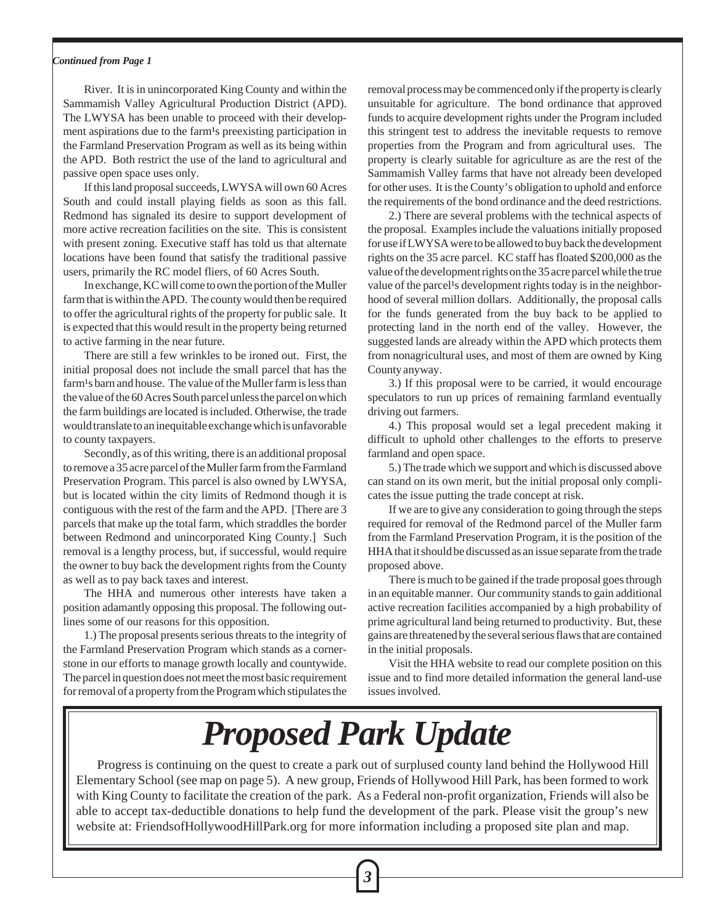#### *Continued from Page 1*

River. It is in unincorporated King County and within the Sammamish Valley Agricultural Production District (APD). The LWYSA has been unable to proceed with their development aspirations due to the farm<sup>1</sup>s preexisting participation in the Farmland Preservation Program as well as its being within the APD. Both restrict the use of the land to agricultural and passive open space uses only.

If this land proposal succeeds, LWYSA will own 60 Acres South and could install playing fields as soon as this fall. Redmond has signaled its desire to support development of more active recreation facilities on the site. This is consistent with present zoning. Executive staff has told us that alternate locations have been found that satisfy the traditional passive users, primarily the RC model fliers, of 60 Acres South.

In exchange, KC will come to own the portion of the Muller farm that is within the APD. The county would then be required to offer the agricultural rights of the property for public sale. It is expected that this would result in the property being returned to active farming in the near future.

There are still a few wrinkles to be ironed out. First, the initial proposal does not include the small parcel that has the farm<sup>1</sup>s barn and house. The value of the Muller farm is less than the value of the 60 Acres South parcel unless the parcel on which the farm buildings are located is included. Otherwise, the trade would translate to an inequitable exchange which is unfavorable to county taxpayers.

Secondly, as of this writing, there is an additional proposal to remove a 35 acre parcel of the Muller farm from the Farmland Preservation Program. This parcel is also owned by LWYSA, but is located within the city limits of Redmond though it is contiguous with the rest of the farm and the APD. [There are 3 parcels that make up the total farm, which straddles the border between Redmond and unincorporated King County.] Such removal is a lengthy process, but, if successful, would require the owner to buy back the development rights from the County as well as to pay back taxes and interest.

The HHA and numerous other interests have taken a position adamantly opposing this proposal. The following outlines some of our reasons for this opposition.

1.) The proposal presents serious threats to the integrity of the Farmland Preservation Program which stands as a cornerstone in our efforts to manage growth locally and countywide. The parcel in question does not meet the most basic requirement for removal of a property from the Program which stipulates the removal process may be commenced only if the property is clearly unsuitable for agriculture. The bond ordinance that approved funds to acquire development rights under the Program included this stringent test to address the inevitable requests to remove properties from the Program and from agricultural uses. The property is clearly suitable for agriculture as are the rest of the Sammamish Valley farms that have not already been developed for other uses. It is the County's obligation to uphold and enforce the requirements of the bond ordinance and the deed restrictions.

2.) There are several problems with the technical aspects of the proposal. Examples include the valuations initially proposed for use if LWYSA were to be allowed to buy back the development rights on the 35 acre parcel. KC staff has floated \$200,000 as the value of the development rights on the 35 acre parcel while the true value of the parcel<sup>1</sup>s development rights today is in the neighborhood of several million dollars. Additionally, the proposal calls for the funds generated from the buy back to be applied to protecting land in the north end of the valley. However, the suggested lands are already within the APD which protects them from nonagricultural uses, and most of them are owned by King County anyway.

3.) If this proposal were to be carried, it would encourage speculators to run up prices of remaining farmland eventually driving out farmers.

4.) This proposal would set a legal precedent making it difficult to uphold other challenges to the efforts to preserve farmland and open space.

5.) The trade which we support and which is discussed above can stand on its own merit, but the initial proposal only complicates the issue putting the trade concept at risk.

If we are to give any consideration to going through the steps required for removal of the Redmond parcel of the Muller farm from the Farmland Preservation Program, it is the position of the HHA that it should be discussed as an issue separate from the trade proposed above.

There is much to be gained if the trade proposal goes through in an equitable manner. Our community stands to gain additional active recreation facilities accompanied by a high probability of prime agricultural land being returned to productivity. But, these gains are threatened by the several serious flaws that are contained in the initial proposals.

Visit the HHA website to read our complete position on this issue and to find more detailed information the general land-use issues involved.

## *Proposed Park Update*

Progress is continuing on the quest to create a park out of surplused county land behind the Hollywood Hill Elementary School (see map on page 5). A new group, Friends of Hollywood Hill Park, has been formed to work with King County to facilitate the creation of the park. As a Federal non-profit organization, Friends will also be able to accept tax-deductible donations to help fund the development of the park. Please visit the group's new website at: FriendsofHollywoodHillPark.org for more information including a proposed site plan and map.

*3*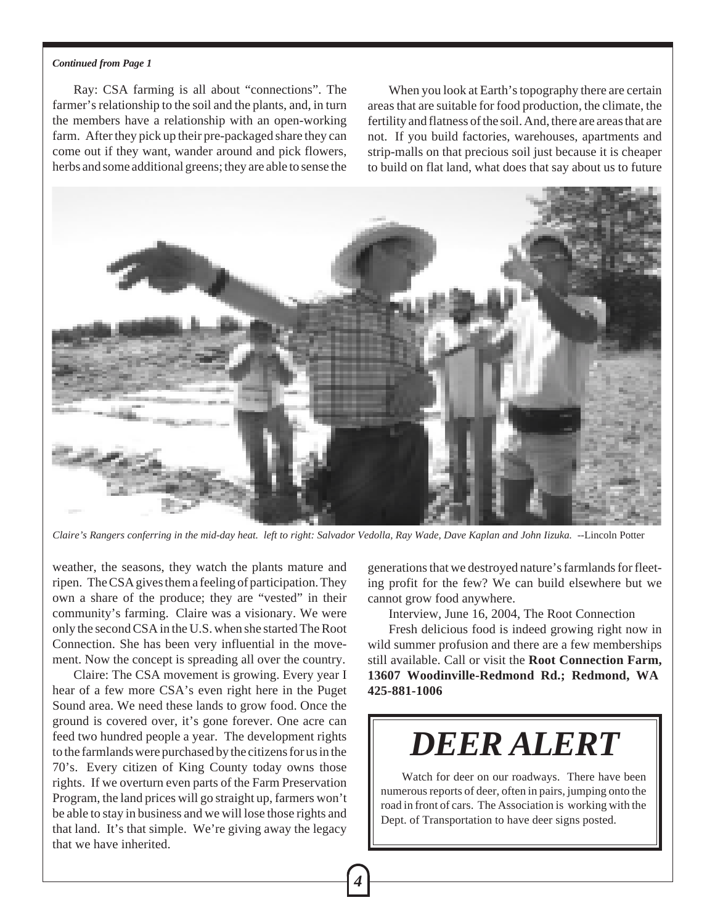#### *Continued from Page 1*

Ray: CSA farming is all about "connections". The farmer's relationship to the soil and the plants, and, in turn the members have a relationship with an open-working farm. After they pick up their pre-packaged share they can come out if they want, wander around and pick flowers, herbs and some additional greens; they are able to sense the

When you look at Earth's topography there are certain areas that are suitable for food production, the climate, the fertility and flatness of the soil. And, there are areas that are not. If you build factories, warehouses, apartments and strip-malls on that precious soil just because it is cheaper to build on flat land, what does that say about us to future



*Claire's Rangers conferring in the mid-day heat. left to right: Salvador Vedolla, Ray Wade, Dave Kaplan and John Iizuka.* --Lincoln Potter

weather, the seasons, they watch the plants mature and ripen. The CSA gives them a feeling of participation. They own a share of the produce; they are "vested" in their community's farming. Claire was a visionary. We were only the second CSA in the U.S. when she started The Root Connection. She has been very influential in the movement. Now the concept is spreading all over the country.

Claire: The CSA movement is growing. Every year I hear of a few more CSA's even right here in the Puget Sound area. We need these lands to grow food. Once the ground is covered over, it's gone forever. One acre can feed two hundred people a year. The development rights to the farmlands were purchased by the citizens for us in the 70's. Every citizen of King County today owns those rights. If we overturn even parts of the Farm Preservation Program, the land prices will go straight up, farmers won't be able to stay in business and we will lose those rights and that land. It's that simple. We're giving away the legacy that we have inherited.

generations that we destroyed nature's farmlands for fleeting profit for the few? We can build elsewhere but we cannot grow food anywhere.

Interview, June 16, 2004, The Root Connection

Fresh delicious food is indeed growing right now in wild summer profusion and there are a few memberships still available. Call or visit the **Root Connection Farm, 13607 Woodinville-Redmond Rd.; Redmond, WA 425-881-1006**

# *DEER ALERT*

Watch for deer on our roadways. There have been numerous reports of deer, often in pairs, jumping onto the road in front of cars. The Association is working with the Dept. of Transportation to have deer signs posted.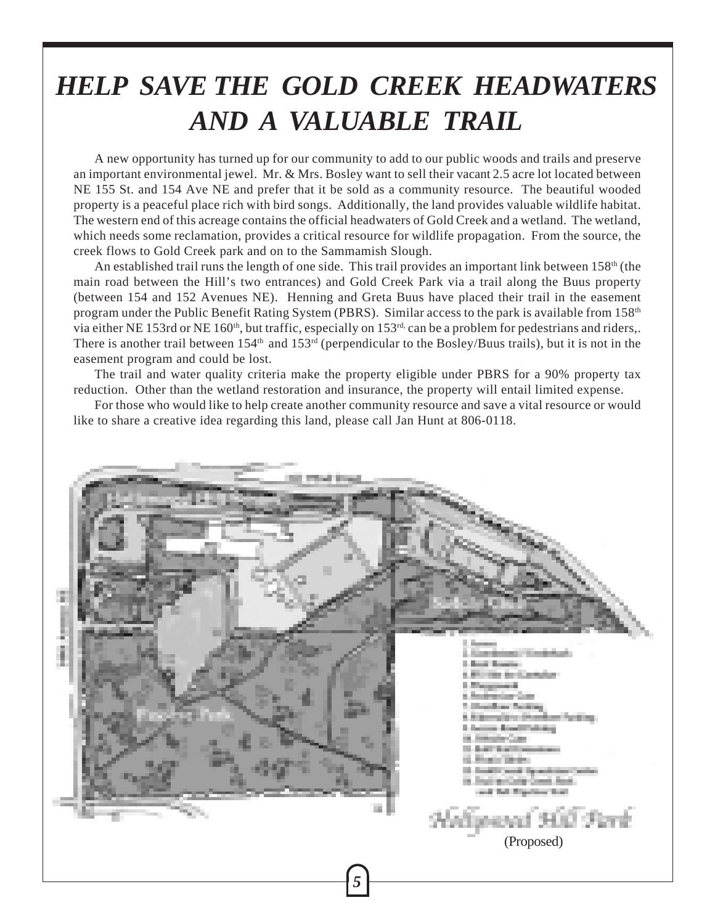## *HELP SAVE THE GOLD CREEK HEADWATERS AND A VALUABLE TRAIL*

A new opportunity has turned up for our community to add to our public woods and trails and preserve an important environmental jewel. Mr. & Mrs. Bosley want to sell their vacant 2.5 acre lot located between NE 155 St. and 154 Ave NE and prefer that it be sold as a community resource. The beautiful wooded property is a peaceful place rich with bird songs. Additionally, the land provides valuable wildlife habitat. The western end of this acreage contains the official headwaters of Gold Creek and a wetland. The wetland, which needs some reclamation, provides a critical resource for wildlife propagation. From the source, the creek flows to Gold Creek park and on to the Sammamish Slough.

An established trail runs the length of one side. This trail provides an important link between  $158<sup>th</sup>$  (the main road between the Hill's two entrances) and Gold Creek Park via a trail along the Buus property (between 154 and 152 Avenues NE). Henning and Greta Buus have placed their trail in the easement program under the Public Benefit Rating System (PBRS). Similar access to the park is available from 158th via either NE 153rd or NE 160<sup>th</sup>, but traffic, especially on 153<sup>rd,</sup> can be a problem for pedestrians and riders,. There is another trail between  $154<sup>th</sup>$  and  $153<sup>rd</sup>$  (perpendicular to the Bosley/Buus trails), but it is not in the easement program and could be lost.

The trail and water quality criteria make the property eligible under PBRS for a 90% property tax reduction. Other than the wetland restoration and insurance, the property will entail limited expense.

For those who would like to help create another community resource and save a vital resource or would like to share a creative idea regarding this land, please call Jan Hunt at 806-0118.